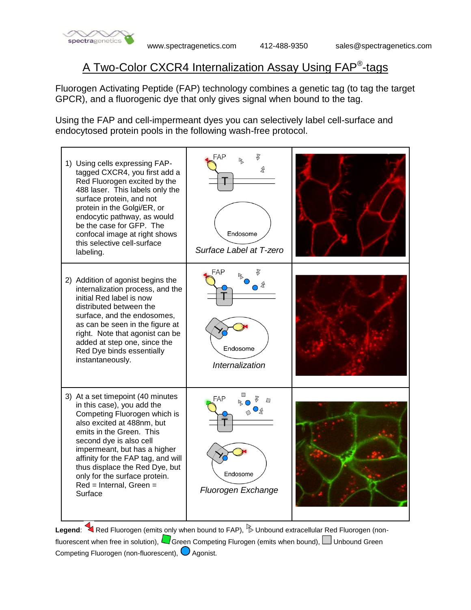

## A Two-Color CXCR4 Internalization Assay Using FAP<sup>®</sup>-tags

Fluorogen Activating Peptide (FAP) technology combines a genetic tag (to tag the target GPCR), and a fluorogenic dye that only gives signal when bound to the tag.

Using the FAP and cell-impermeant dyes you can selectively label cell-surface and endocytosed protein pools in the following wash-free protocol.



Legend: Red Fluorogen (emits only when bound to FAP), **Dunbound extracellular Red Fluorogen** (nonfluorescent when free in solution),  $\Box$  Green Competing Flurogen (emits when bound),  $\Box$  Unbound Green Competing Fluorogen (non-fluorescent),  $\bigcirc$  Agonist.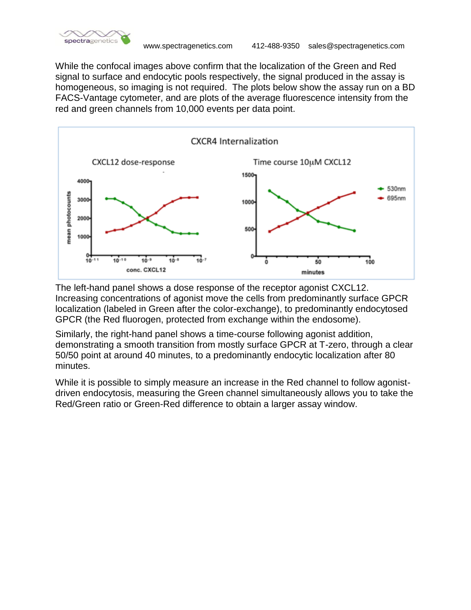

While the confocal images above confirm that the localization of the Green and Red signal to surface and endocytic pools respectively, the signal produced in the assay is homogeneous, so imaging is not required. The plots below show the assay run on a BD FACS-Vantage cytometer, and are plots of the average fluorescence intensity from the red and green channels from 10,000 events per data point.



The left-hand panel shows a dose response of the receptor agonist CXCL12. Increasing concentrations of agonist move the cells from predominantly surface GPCR localization (labeled in Green after the color-exchange), to predominantly endocytosed GPCR (the Red fluorogen, protected from exchange within the endosome).

Similarly, the right-hand panel shows a time-course following agonist addition, demonstrating a smooth transition from mostly surface GPCR at T-zero, through a clear 50/50 point at around 40 minutes, to a predominantly endocytic localization after 80 minutes.

While it is possible to simply measure an increase in the Red channel to follow agonistdriven endocytosis, measuring the Green channel simultaneously allows you to take the Red/Green ratio or Green-Red difference to obtain a larger assay window.